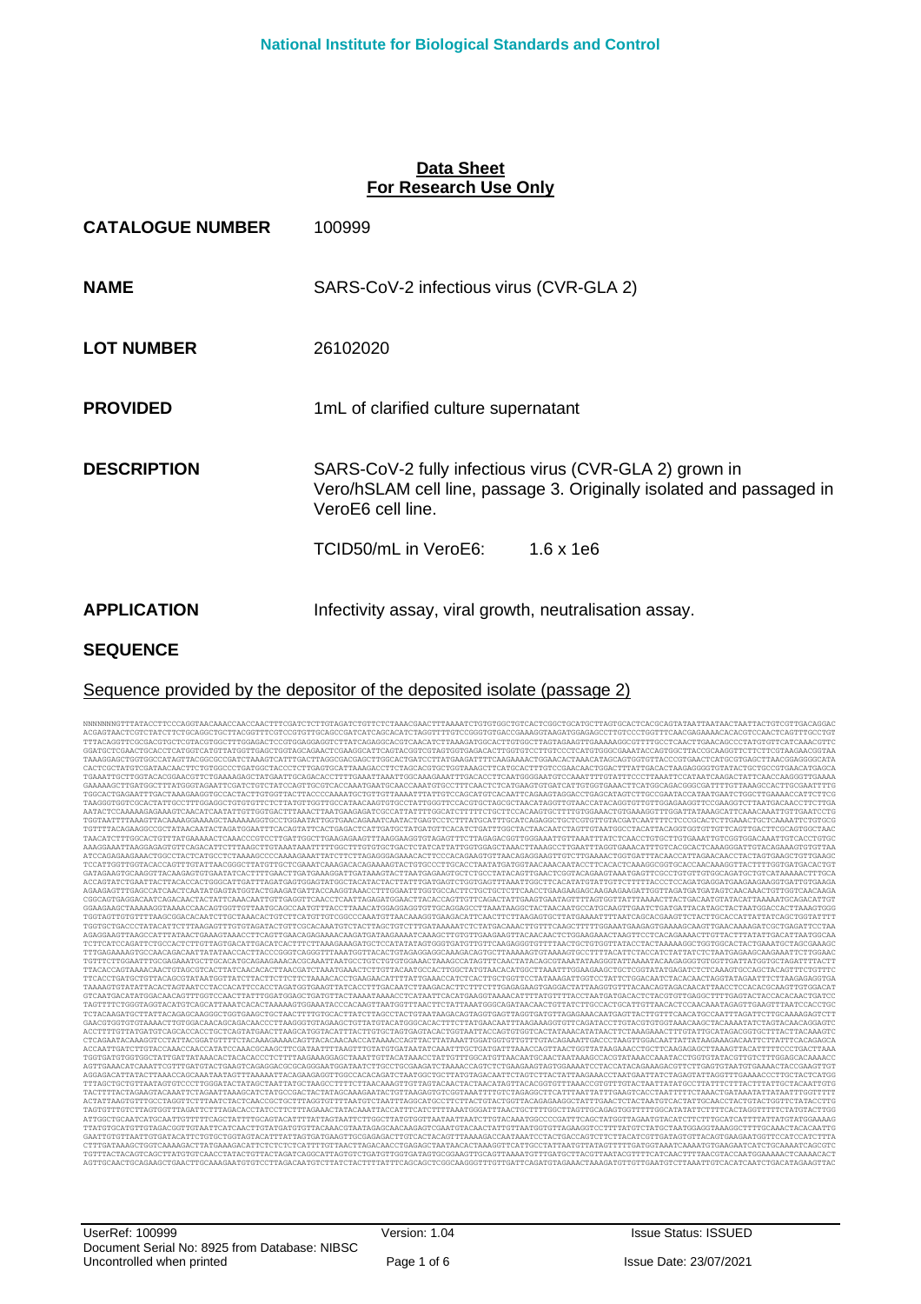## **Data Sheet For Research Use Only**

| <b>CATALOGUE NUMBER</b>                                                                                                           | 100999                                                                                                                                              |  |  |  |
|-----------------------------------------------------------------------------------------------------------------------------------|-----------------------------------------------------------------------------------------------------------------------------------------------------|--|--|--|
| <b>NAME</b>                                                                                                                       | SARS-CoV-2 infectious virus (CVR-GLA 2)                                                                                                             |  |  |  |
| <b>LOT NUMBER</b>                                                                                                                 | 26102020                                                                                                                                            |  |  |  |
| <b>PROVIDED</b>                                                                                                                   | 1mL of clarified culture supernatant                                                                                                                |  |  |  |
| <b>DESCRIPTION</b>                                                                                                                | SARS-CoV-2 fully infectious virus (CVR-GLA 2) grown in<br>Vero/hSLAM cell line, passage 3. Originally isolated and passaged in<br>VeroE6 cell line. |  |  |  |
|                                                                                                                                   | TCID50/mL in VeroE6:<br>$1.6 \times 10$                                                                                                             |  |  |  |
| <b>APPLICATION</b>                                                                                                                | Infectivity assay, viral growth, neutralisation assay.                                                                                              |  |  |  |
| $\begin{array}{c} \mathbf{A} \mathbf{B} \mathbf{A} \mathbf{A} \mathbf{B} \mathbf{A} \mathbf{B} \mathbf{A} \mathbf{B} \end{array}$ |                                                                                                                                                     |  |  |  |

## **SEQUENCE**

Sequence provided by the depositor of the deposited isolate (passage 2)

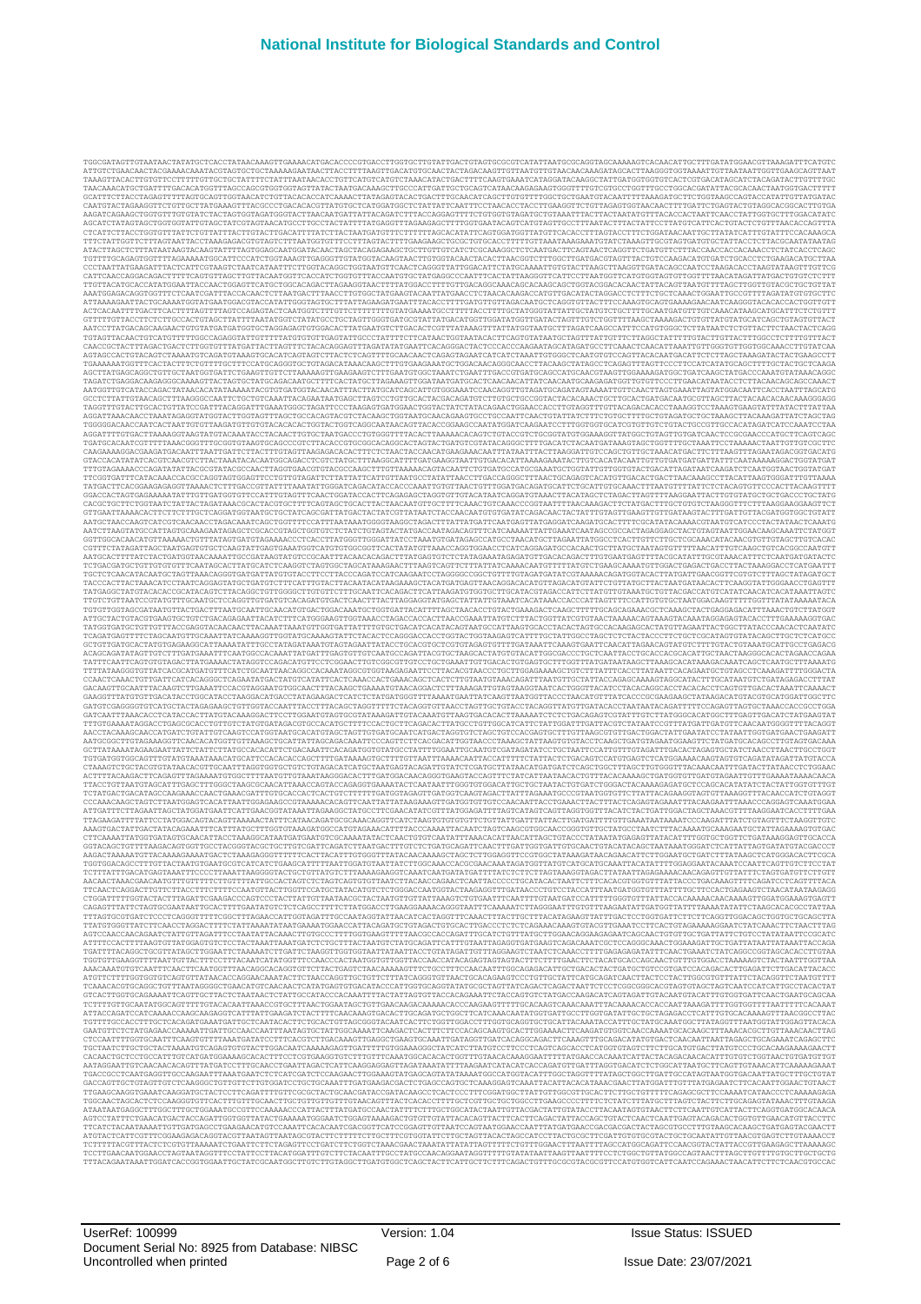## **National Institute for Biological Standards and Control**

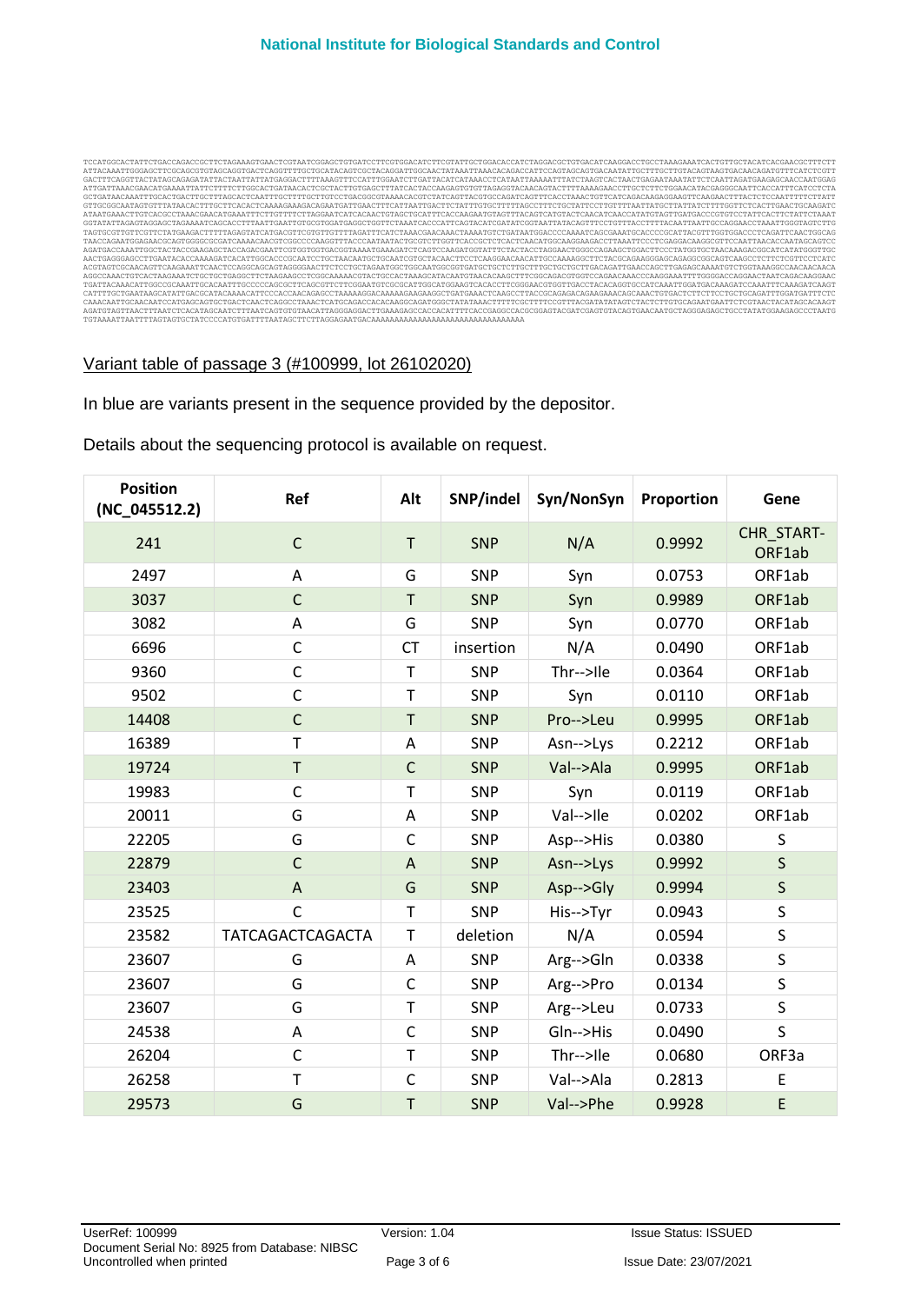

## Variant table of passage 3 (#100999, lot 26102020)

In blue are variants present in the sequence provided by the depositor.

Details about the sequencing protocol is available on request.

| <b>Position</b><br>(NC_045512.2) | Ref              | Alt                       | SNP/indel  | Syn/NonSyn | Proportion | Gene                 |
|----------------------------------|------------------|---------------------------|------------|------------|------------|----------------------|
| 241                              | $\mathsf C$      | $\mathsf T$               | <b>SNP</b> | N/A        | 0.9992     | CHR_START-<br>ORF1ab |
| 2497                             | A                | G                         | <b>SNP</b> | Syn        | 0.0753     | ORF1ab               |
| 3037                             | $\mathsf{C}$     | $\mathsf T$               | <b>SNP</b> | Syn        | 0.9989     | ORF1ab               |
| 3082                             | Α                | G                         | SNP        | Syn        | 0.0770     | ORF1ab               |
| 6696                             | $\mathsf C$      | <b>CT</b>                 | insertion  | N/A        | 0.0490     | ORF1ab               |
| 9360                             | $\mathsf{C}$     | $\sf T$                   | <b>SNP</b> | Thr-->Ile  | 0.0364     | ORF1ab               |
| 9502                             | $\mathsf{C}$     | $\mathsf T$               | <b>SNP</b> | Syn        | 0.0110     | ORF1ab               |
| 14408                            | $\mathsf{C}$     | $\top$                    | <b>SNP</b> | Pro-->Leu  | 0.9995     | ORF1ab               |
| 16389                            | T                | A                         | <b>SNP</b> | Asn-->Lys  | 0.2212     | ORF1ab               |
| 19724                            | $\mathsf T$      | $\mathsf C$               | <b>SNP</b> | Val-->Ala  | 0.9995     | ORF1ab               |
| 19983                            | $\mathsf C$      | T                         | <b>SNP</b> | Syn        | 0.0119     | ORF1ab               |
| 20011                            | G                | A                         | <b>SNP</b> | Val-->Ile  | 0.0202     | ORF1ab               |
| 22205                            | G                | $\mathsf C$               | SNP        | Asp-->His  | 0.0380     | $\sf S$              |
| 22879                            | $\mathsf{C}$     | $\boldsymbol{\mathsf{A}}$ | <b>SNP</b> | Asn-->Lys  | 0.9992     | $\sf S$              |
| 23403                            | A                | G                         | <b>SNP</b> | Asp-->Gly  | 0.9994     | $\sf S$              |
| 23525                            | $\mathsf{C}$     | $\mathsf T$               | SNP        | His-->Tyr  | 0.0943     | $\mathsf S$          |
| 23582                            | TATCAGACTCAGACTA | $\mathsf T$               | deletion   | N/A        | 0.0594     | $\sf S$              |
| 23607                            | G                | A                         | <b>SNP</b> | Arg-->Gln  | 0.0338     | $\mathsf S$          |
| 23607                            | G                | $\mathsf C$               | SNP        | Arg-->Pro  | 0.0134     | $\mathsf S$          |
| 23607                            | G                | $\sf T$                   | <b>SNP</b> | Arg-->Leu  | 0.0733     | S                    |
| 24538                            | A                | $\mathsf C$               | <b>SNP</b> | Gln-->His  | 0.0490     | $\mathsf{S}$         |
| 26204                            | $\mathsf{C}$     | $\mathsf T$               | SNP        | Thr-->Ile  | 0.0680     | ORF3a                |
| 26258                            | T                | $\mathsf C$               | SNP        | Val-->Ala  | 0.2813     | E                    |
| 29573                            | G                | $\mathsf{T}$              | <b>SNP</b> | Val-->Phe  | 0.9928     | E                    |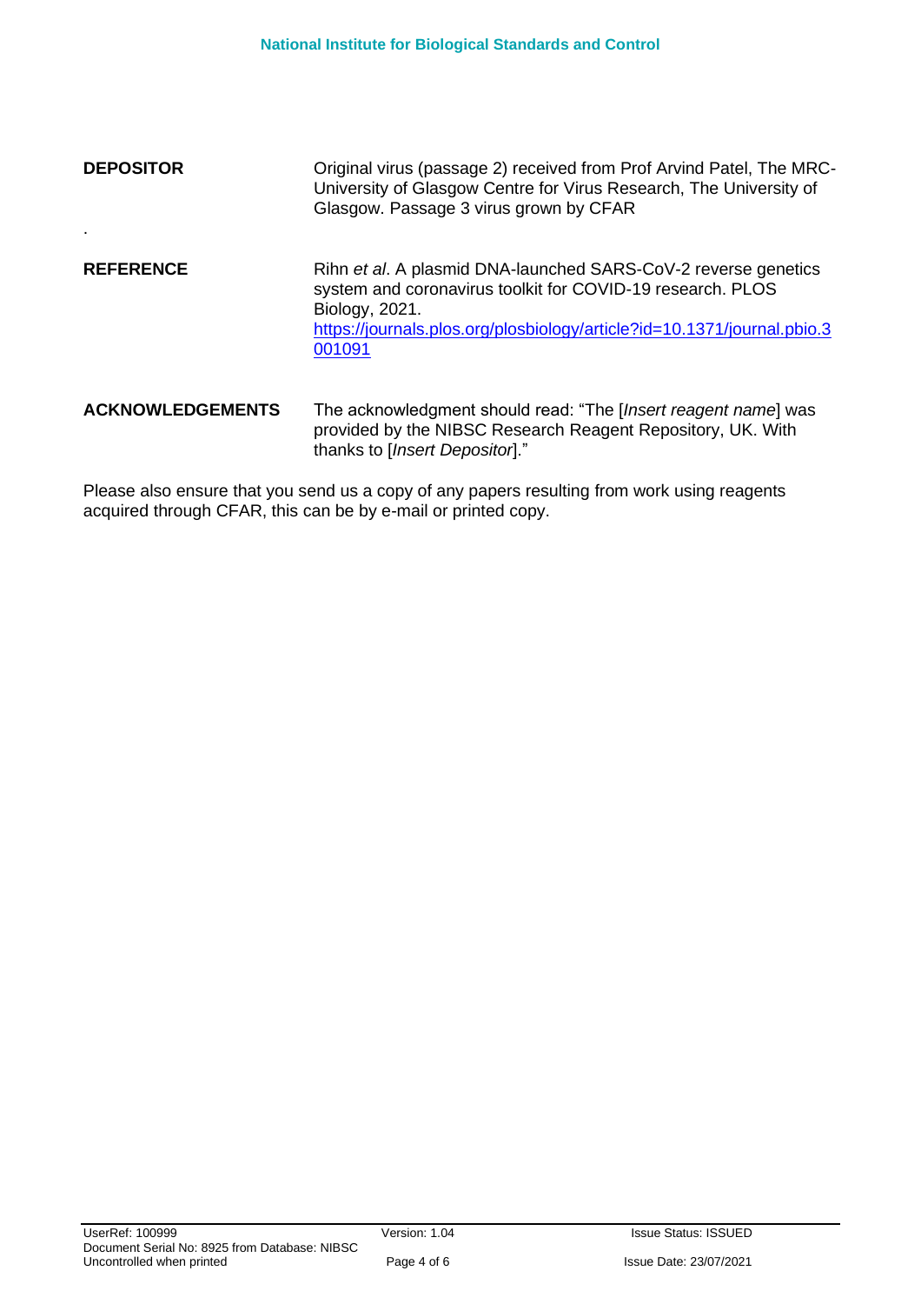| <b>DEPOSITOR</b>        | Original virus (passage 2) received from Prof Arvind Patel, The MRC-<br>University of Glasgow Centre for Virus Research, The University of<br>Glasgow. Passage 3 virus grown by CFAR                                                |
|-------------------------|-------------------------------------------------------------------------------------------------------------------------------------------------------------------------------------------------------------------------------------|
| <b>REFERENCE</b>        | Rihn et al. A plasmid DNA-launched SARS-CoV-2 reverse genetics<br>system and coronavirus toolkit for COVID-19 research. PLOS<br>Biology, 2021.<br>https://journals.plos.org/plosbiology/article?id=10.1371/journal.pbio.3<br>001091 |
| <b>ACKNOWLEDGEMENTS</b> | The acknowledgment should read: "The [Insert reagent name] was<br>provided by the NIBSC Research Reagent Repository, UK. With<br>thanks to [Insert Depositor]."                                                                     |

Please also ensure that you send us a copy of any papers resulting from work using reagents acquired through CFAR, this can be by e-mail or printed copy.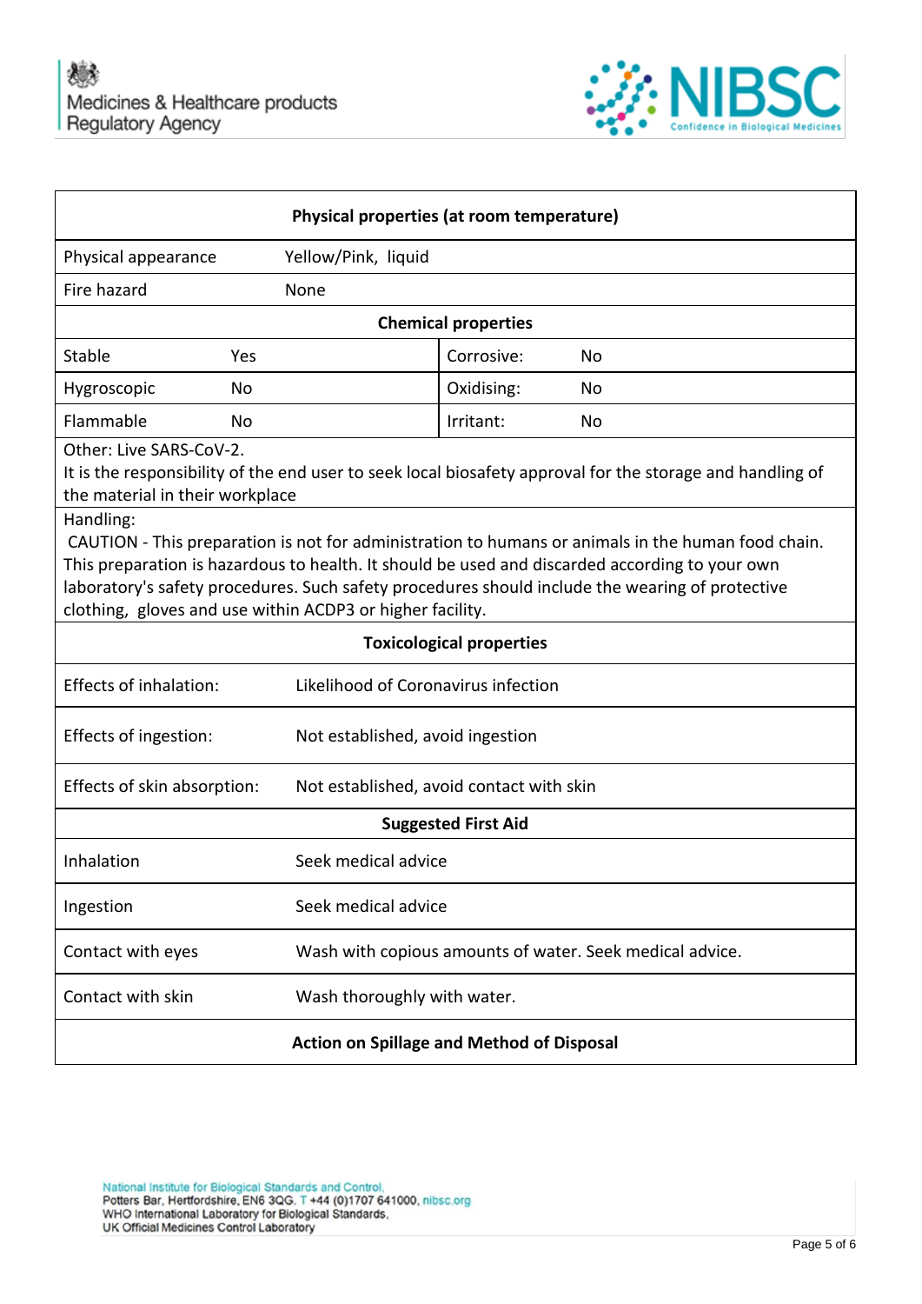

| Physical properties (at room temperature)                                                                                                                                                                                                                                                                                                                                         |                                                          |  |  |  |  |
|-----------------------------------------------------------------------------------------------------------------------------------------------------------------------------------------------------------------------------------------------------------------------------------------------------------------------------------------------------------------------------------|----------------------------------------------------------|--|--|--|--|
| Yellow/Pink, liquid<br>Physical appearance                                                                                                                                                                                                                                                                                                                                        |                                                          |  |  |  |  |
| Fire hazard<br>None                                                                                                                                                                                                                                                                                                                                                               |                                                          |  |  |  |  |
| <b>Chemical properties</b>                                                                                                                                                                                                                                                                                                                                                        |                                                          |  |  |  |  |
| Stable<br>Yes                                                                                                                                                                                                                                                                                                                                                                     | Corrosive:<br>No                                         |  |  |  |  |
| Hygroscopic<br>No                                                                                                                                                                                                                                                                                                                                                                 | Oxidising:<br>No                                         |  |  |  |  |
| Flammable<br>No                                                                                                                                                                                                                                                                                                                                                                   | Irritant:<br>No                                          |  |  |  |  |
| Other: Live SARS-CoV-2.<br>It is the responsibility of the end user to seek local biosafety approval for the storage and handling of<br>the material in their workplace                                                                                                                                                                                                           |                                                          |  |  |  |  |
| Handling:<br>CAUTION - This preparation is not for administration to humans or animals in the human food chain.<br>This preparation is hazardous to health. It should be used and discarded according to your own<br>laboratory's safety procedures. Such safety procedures should include the wearing of protective<br>clothing, gloves and use within ACDP3 or higher facility. |                                                          |  |  |  |  |
| <b>Toxicological properties</b>                                                                                                                                                                                                                                                                                                                                                   |                                                          |  |  |  |  |
| <b>Effects of inhalation:</b>                                                                                                                                                                                                                                                                                                                                                     | Likelihood of Coronavirus infection                      |  |  |  |  |
| Effects of ingestion:                                                                                                                                                                                                                                                                                                                                                             | Not established, avoid ingestion                         |  |  |  |  |
| Effects of skin absorption:                                                                                                                                                                                                                                                                                                                                                       | Not established, avoid contact with skin                 |  |  |  |  |
| <b>Suggested First Aid</b>                                                                                                                                                                                                                                                                                                                                                        |                                                          |  |  |  |  |
| Inhalation                                                                                                                                                                                                                                                                                                                                                                        | Seek medical advice                                      |  |  |  |  |
| Ingestion                                                                                                                                                                                                                                                                                                                                                                         | Seek medical advice                                      |  |  |  |  |
| Contact with eyes                                                                                                                                                                                                                                                                                                                                                                 | Wash with copious amounts of water. Seek medical advice. |  |  |  |  |
| Contact with skin                                                                                                                                                                                                                                                                                                                                                                 | Wash thoroughly with water.                              |  |  |  |  |
|                                                                                                                                                                                                                                                                                                                                                                                   | <b>Action on Spillage and Method of Disposal</b>         |  |  |  |  |